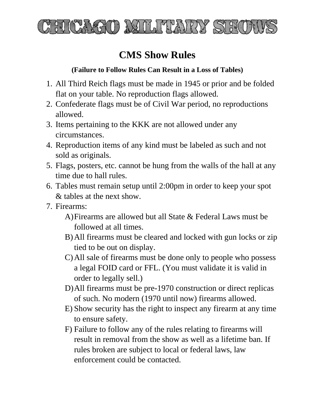

## **CMS Show Rules**

## **(Failure to Follow Rules Can Result in a Loss of Tables)**

- 1. All Third Reich flags must be made in 1945 or prior and be folded flat on your table. No reproduction flags allowed.
- 2. Confederate flags must be of Civil War period, no reproductions allowed.
- 3. Items pertaining to the KKK are not allowed under any circumstances.
- 4. Reproduction items of any kind must be labeled as such and not sold as originals.
- 5. Flags, posters, etc. cannot be hung from the walls of the hall at any time due to hall rules.
- 6. Tables must remain setup until 2:00pm in order to keep your spot & tables at the next show.
- 7. Firearms:
	- A)Firearms are allowed but all State & Federal Laws must be followed at all times.
	- B)All firearms must be cleared and locked with gun locks or zip tied to be out on display.
	- C)All sale of firearms must be done only to people who possess a legal FOID card or FFL. (You must validate it is valid in order to legally sell.)
	- D)All firearms must be pre-1970 construction or direct replicas of such. No modern (1970 until now) firearms allowed.
	- E) Show security has the right to inspect any firearm at any time to ensure safety.
	- F) Failure to follow any of the rules relating to firearms will result in removal from the show as well as a lifetime ban. If rules broken are subject to local or federal laws, law enforcement could be contacted.